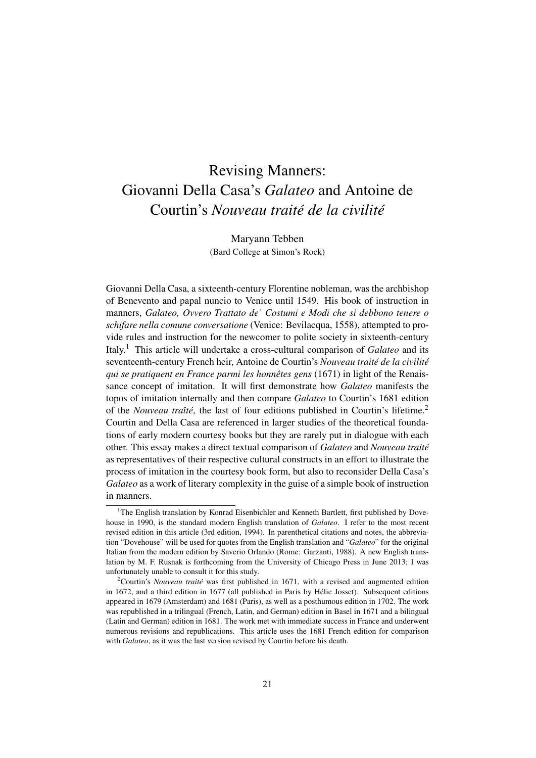## Revising Manners: Giovanni Della Casa's *Galateo* and Antoine de Courtin's *Nouveau traité de la civilité*

Maryann Tebben (Bard College at Simon's Rock)

Giovanni Della Casa, a sixteenth-century Florentine nobleman, was the archbishop of Benevento and papal nuncio to Venice until 1549. His book of instruction in manners, *Galateo, Ovvero Trattato de' Costumi e Modi che si debbono tenere o schifare nella comune conversatione* (Venice: Bevilacqua, 1558), attempted to provide rules and instruction for the newcomer to polite society in sixteenth-century Italy.<sup>1</sup> This article will undertake a cross-cultural comparison of *Galateo* and its seventeenth-century French heir, Antoine de Courtin's *Nouveau traité de la civilité qui se pratiquent en France parmi les honnêtes gens* (1671) in light of the Renaissance concept of imitation. It will first demonstrate how *Galateo* manifests the topos of imitation internally and then compare *Galateo* to Courtin's 1681 edition of the *Nouveau traîté*, the last of four editions published in Courtin's lifetime.<sup>2</sup> Courtin and Della Casa are referenced in larger studies of the theoretical foundations of early modern courtesy books but they are rarely put in dialogue with each other. This essay makes a direct textual comparison of *Galateo* and *Nouveau traité* as representatives of their respective cultural constructs in an effort to illustrate the process of imitation in the courtesy book form, but also to reconsider Della Casa's *Galateo* as a work of literary complexity in the guise of a simple book of instruction in manners.

 $1$ <sup>1</sup>The English translation by Konrad Eisenbichler and Kenneth Bartlett, first published by Dovehouse in 1990, is the standard modern English translation of *Galateo*. I refer to the most recent revised edition in this article (3rd edition, 1994). In parenthetical citations and notes, the abbreviation "Dovehouse" will be used for quotes from the English translation and "*Galateo*" for the original Italian from the modern edition by Saverio Orlando (Rome: Garzanti, 1988). A new English translation by M. F. Rusnak is forthcoming from the University of Chicago Press in June 2013; I was unfortunately unable to consult it for this study.

<sup>2</sup>Courtin's *Nouveau traité* was first published in 1671, with a revised and augmented edition in 1672, and a third edition in 1677 (all published in Paris by Hélie Josset). Subsequent editions appeared in 1679 (Amsterdam) and 1681 (Paris), as well as a posthumous edition in 1702. The work was republished in a trilingual (French, Latin, and German) edition in Basel in 1671 and a bilingual (Latin and German) edition in 1681. The work met with immediate success in France and underwent numerous revisions and republications. This article uses the 1681 French edition for comparison with *Galateo*, as it was the last version revised by Courtin before his death.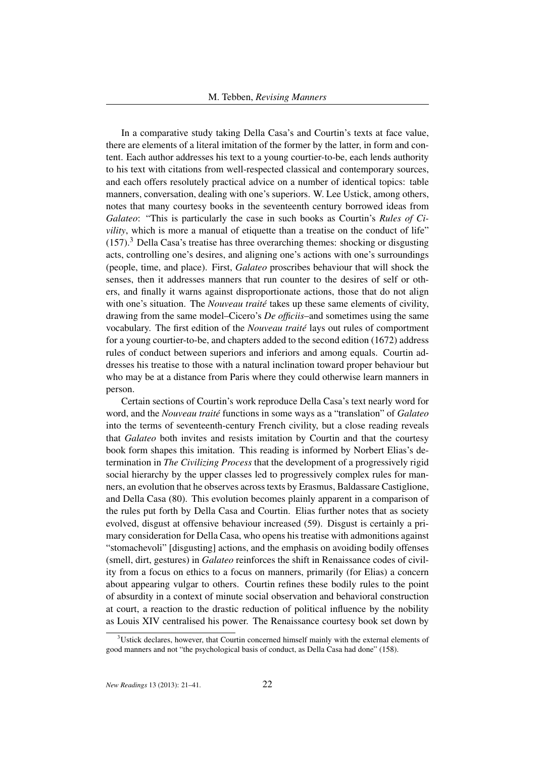In a comparative study taking Della Casa's and Courtin's texts at face value, there are elements of a literal imitation of the former by the latter, in form and content. Each author addresses his text to a young courtier-to-be, each lends authority to his text with citations from well-respected classical and contemporary sources, and each offers resolutely practical advice on a number of identical topics: table manners, conversation, dealing with one's superiors. W. Lee Ustick, among others, notes that many courtesy books in the seventeenth century borrowed ideas from *Galateo*: "This is particularly the case in such books as Courtin's *Rules of Civility*, which is more a manual of etiquette than a treatise on the conduct of life"  $(157)$ .<sup>3</sup> Della Casa's treatise has three overarching themes: shocking or disgusting acts, controlling one's desires, and aligning one's actions with one's surroundings (people, time, and place). First, *Galateo* proscribes behaviour that will shock the senses, then it addresses manners that run counter to the desires of self or others, and finally it warns against disproportionate actions, those that do not align with one's situation. The *Nouveau traité* takes up these same elements of civility, drawing from the same model–Cicero's *De officiis*–and sometimes using the same vocabulary. The first edition of the *Nouveau traité* lays out rules of comportment for a young courtier-to-be, and chapters added to the second edition (1672) address rules of conduct between superiors and inferiors and among equals. Courtin addresses his treatise to those with a natural inclination toward proper behaviour but who may be at a distance from Paris where they could otherwise learn manners in person.

Certain sections of Courtin's work reproduce Della Casa's text nearly word for word, and the *Nouveau traité* functions in some ways as a "translation" of *Galateo* into the terms of seventeenth-century French civility, but a close reading reveals that *Galateo* both invites and resists imitation by Courtin and that the courtesy book form shapes this imitation. This reading is informed by Norbert Elias's determination in *The Civilizing Process* that the development of a progressively rigid social hierarchy by the upper classes led to progressively complex rules for manners, an evolution that he observes across texts by Erasmus, Baldassare Castiglione, and Della Casa (80). This evolution becomes plainly apparent in a comparison of the rules put forth by Della Casa and Courtin. Elias further notes that as society evolved, disgust at offensive behaviour increased (59). Disgust is certainly a primary consideration for Della Casa, who opens his treatise with admonitions against "stomachevoli" [disgusting] actions, and the emphasis on avoiding bodily offenses (smell, dirt, gestures) in *Galateo* reinforces the shift in Renaissance codes of civility from a focus on ethics to a focus on manners, primarily (for Elias) a concern about appearing vulgar to others. Courtin refines these bodily rules to the point of absurdity in a context of minute social observation and behavioral construction at court, a reaction to the drastic reduction of political influence by the nobility as Louis XIV centralised his power. The Renaissance courtesy book set down by

 $3$ Ustick declares, however, that Courtin concerned himself mainly with the external elements of good manners and not "the psychological basis of conduct, as Della Casa had done" (158).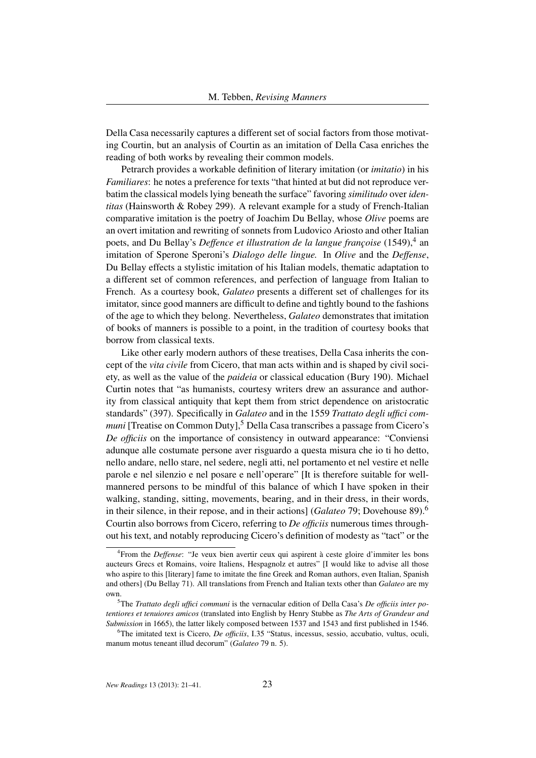Della Casa necessarily captures a different set of social factors from those motivating Courtin, but an analysis of Courtin as an imitation of Della Casa enriches the reading of both works by revealing their common models.

Petrarch provides a workable definition of literary imitation (or *imitatio*) in his *Familiares*: he notes a preference for texts "that hinted at but did not reproduce verbatim the classical models lying beneath the surface" favoring *similitudo* over *identitas* (Hainsworth & Robey 299). A relevant example for a study of French-Italian comparative imitation is the poetry of Joachim Du Bellay, whose *Olive* poems are an overt imitation and rewriting of sonnets from Ludovico Ariosto and other Italian poets, and Du Bellay's *Deffence et illustration de la langue françoise* (1549),<sup>4</sup> an imitation of Sperone Speroni's *Dialogo delle lingue.* In *Olive* and the *Deffense*, Du Bellay effects a stylistic imitation of his Italian models, thematic adaptation to a different set of common references, and perfection of language from Italian to French. As a courtesy book, *Galateo* presents a different set of challenges for its imitator, since good manners are difficult to define and tightly bound to the fashions of the age to which they belong. Nevertheless, *Galateo* demonstrates that imitation of books of manners is possible to a point, in the tradition of courtesy books that borrow from classical texts.

Like other early modern authors of these treatises, Della Casa inherits the concept of the *vita civile* from Cicero, that man acts within and is shaped by civil society, as well as the value of the *paideia* or classical education (Bury 190). Michael Curtin notes that "as humanists, courtesy writers drew an assurance and authority from classical antiquity that kept them from strict dependence on aristocratic standards" (397). Specifically in *Galateo* and in the 1559 *Trattato degli uffici communi* [Treatise on Common Duty],<sup>5</sup> Della Casa transcribes a passage from Cicero's *De officiis* on the importance of consistency in outward appearance: "Conviensi adunque alle costumate persone aver risguardo a questa misura che io ti ho detto, nello andare, nello stare, nel sedere, negli atti, nel portamento et nel vestire et nelle parole e nel silenzio e nel posare e nell'operare" [It is therefore suitable for wellmannered persons to be mindful of this balance of which I have spoken in their walking, standing, sitting, movements, bearing, and in their dress, in their words, in their silence, in their repose, and in their actions] (*Galateo* 79; Dovehouse 89).<sup>6</sup> Courtin also borrows from Cicero, referring to *De officiis* numerous times throughout his text, and notably reproducing Cicero's definition of modesty as "tact" or the

<sup>4</sup> From the *Deffense*: "Je veux bien avertir ceux qui aspirent à ceste gloire d'immiter les bons aucteurs Grecs et Romains, voire Italiens, Hespagnolz et autres" [I would like to advise all those who aspire to this [literary] fame to imitate the fine Greek and Roman authors, even Italian, Spanish and others] (Du Bellay 71). All translations from French and Italian texts other than *Galateo* are my own.

<sup>5</sup>The *Trattato degli uffici communi* is the vernacular edition of Della Casa's *De officiis inter potentiores et tenuiores amicos* (translated into English by Henry Stubbe as *The Arts of Grandeur and Submission* in 1665), the latter likely composed between 1537 and 1543 and first published in 1546.

<sup>6</sup>The imitated text is Cicero, *De officiis*, I.35 "Status, incessus, sessio, accubatio, vultus, oculi, manum motus teneant illud decorum" (*Galateo* 79 n. 5).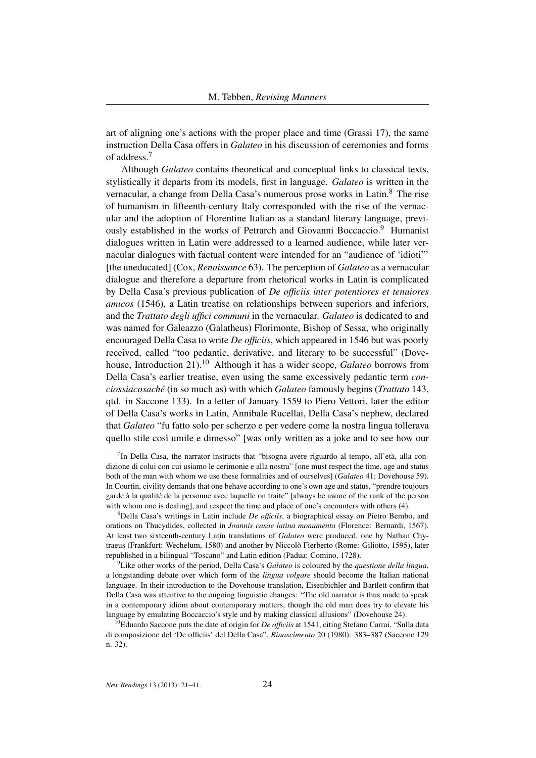art of aligning one's actions with the proper place and time (Grassi 17), the same instruction Della Casa offers in *Galateo* in his discussion of ceremonies and forms of address.<sup>7</sup>

Although *Galateo* contains theoretical and conceptual links to classical texts, stylistically it departs from its models, first in language. *Galateo* is written in the vernacular, a change from Della Casa's numerous prose works in Latin.<sup>8</sup> The rise of humanism in fifteenth-century Italy corresponded with the rise of the vernacular and the adoption of Florentine Italian as a standard literary language, previously established in the works of Petrarch and Giovanni Boccaccio.<sup>9</sup> Humanist dialogues written in Latin were addressed to a learned audience, while later vernacular dialogues with factual content were intended for an "audience of 'idioti"' [the uneducated] (Cox, *Renaissance* 63). The perception of *Galateo* as a vernacular dialogue and therefore a departure from rhetorical works in Latin is complicated by Della Casa's previous publication of *De officiis inter potentiores et tenuiores amicos* (1546), a Latin treatise on relationships between superiors and inferiors, and the *Trattato degli uffici communi* in the vernacular. *Galateo* is dedicated to and was named for Galeazzo (Galatheus) Florimonte, Bishop of Sessa, who originally encouraged Della Casa to write *De officiis*, which appeared in 1546 but was poorly received, called "too pedantic, derivative, and literary to be successful" (Dovehouse, Introduction 21).<sup>10</sup> Although it has a wider scope, *Galateo* borrows from Della Casa's earlier treatise, even using the same excessively pedantic term *conciossiacosaché* (in so much as) with which *Galateo* famously begins (*Trattato* 143, qtd. in Saccone 133). In a letter of January 1559 to Piero Vettori, later the editor of Della Casa's works in Latin, Annibale Rucellai, Della Casa's nephew, declared that *Galateo* "fu fatto solo per scherzo e per vedere come la nostra lingua tollerava quello stile così umile e dimesso" [was only written as a joke and to see how our

<sup>&</sup>lt;sup>7</sup>In Della Casa, the narrator instructs that "bisogna avere riguardo al tempo, all'età, alla condizione di colui con cui usiamo le cerimonie e alla nostra" [one must respect the time, age and status both of the man with whom we use these formalities and of ourselves] (*Galateo* 41; Dovehouse 59). In Courtin, civility demands that one behave according to one's own age and status, "prendre toujours garde à la qualité de la personne avec laquelle on traite" [always be aware of the rank of the person with whom one is dealing], and respect the time and place of one's encounters with others (4).

<sup>8</sup>Della Casa's writings in Latin include *De officiis*, a biographical essay on Pietro Bembo, and orations on Thucydides, collected in *Joannis casae latina monumenta* (Florence: Bernardi, 1567). At least two sixteenth-century Latin translations of *Galateo* were produced, one by Nathan Chytraeus (Frankfurt: Wechelum, 1580) and another by Niccolò Fierberto (Rome: Giliotto, 1595), later republished in a bilingual "Toscano" and Latin edition (Padua: Comino, 1728).

<sup>9</sup>Like other works of the period, Della Casa's *Galateo* is coloured by the *questione della lingua*, a longstanding debate over which form of the *lingua volgare* should become the Italian national language. In their introduction to the Dovehouse translation, Eisenbichler and Bartlett confirm that Della Casa was attentive to the ongoing linguistic changes: "The old narrator is thus made to speak in a contemporary idiom about contemporary matters, though the old man does try to elevate his language by emulating Boccaccio's style and by making classical allusions" (Dovehouse 24).

<sup>&</sup>lt;sup>10</sup>Eduardo Saccone puts the date of origin for *De officiis* at 1541, citing Stefano Carrai, "Sulla data di composizione del 'De officiis' del Della Casa", *Rinascimento* 20 (1980): 383–387 (Saccone 129 n. 32).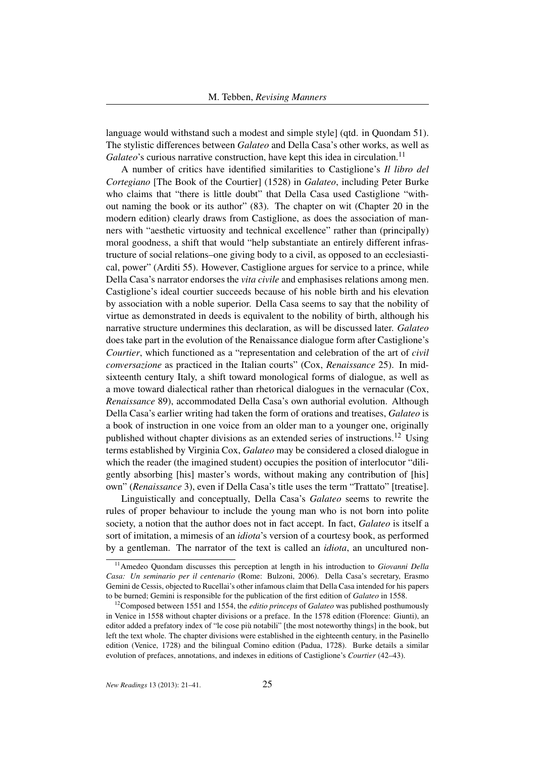language would withstand such a modest and simple style] (qtd. in Quondam 51). The stylistic differences between *Galateo* and Della Casa's other works, as well as *Galateo*'s curious narrative construction, have kept this idea in circulation.<sup>11</sup>

A number of critics have identified similarities to Castiglione's *Il libro del Cortegiano* [The Book of the Courtier] (1528) in *Galateo*, including Peter Burke who claims that "there is little doubt" that Della Casa used Castiglione "without naming the book or its author" (83). The chapter on wit (Chapter 20 in the modern edition) clearly draws from Castiglione, as does the association of manners with "aesthetic virtuosity and technical excellence" rather than (principally) moral goodness, a shift that would "help substantiate an entirely different infrastructure of social relations–one giving body to a civil, as opposed to an ecclesiastical, power" (Arditi 55). However, Castiglione argues for service to a prince, while Della Casa's narrator endorses the *vita civile* and emphasises relations among men. Castiglione's ideal courtier succeeds because of his noble birth and his elevation by association with a noble superior. Della Casa seems to say that the nobility of virtue as demonstrated in deeds is equivalent to the nobility of birth, although his narrative structure undermines this declaration, as will be discussed later. *Galateo* does take part in the evolution of the Renaissance dialogue form after Castiglione's *Courtier*, which functioned as a "representation and celebration of the art of *civil conversazione* as practiced in the Italian courts" (Cox, *Renaissance* 25). In midsixteenth century Italy, a shift toward monological forms of dialogue, as well as a move toward dialectical rather than rhetorical dialogues in the vernacular (Cox, *Renaissance* 89), accommodated Della Casa's own authorial evolution. Although Della Casa's earlier writing had taken the form of orations and treatises, *Galateo* is a book of instruction in one voice from an older man to a younger one, originally published without chapter divisions as an extended series of instructions.<sup>12</sup> Using terms established by Virginia Cox, *Galateo* may be considered a closed dialogue in which the reader (the imagined student) occupies the position of interlocutor "diligently absorbing [his] master's words, without making any contribution of [his] own" (*Renaissance* 3), even if Della Casa's title uses the term "Trattato" [treatise].

Linguistically and conceptually, Della Casa's *Galateo* seems to rewrite the rules of proper behaviour to include the young man who is not born into polite society, a notion that the author does not in fact accept. In fact, *Galateo* is itself a sort of imitation, a mimesis of an *idiota*'s version of a courtesy book, as performed by a gentleman. The narrator of the text is called an *idiota*, an uncultured non-

<sup>11</sup>Amedeo Quondam discusses this perception at length in his introduction to *Giovanni Della Casa: Un seminario per il centenario* (Rome: Bulzoni, 2006). Della Casa's secretary, Erasmo Gemini de Cessis, objected to Rucellai's other infamous claim that Della Casa intended for his papers to be burned; Gemini is responsible for the publication of the first edition of *Galateo* in 1558.

<sup>12</sup>Composed between 1551 and 1554, the *editio princeps* of *Galateo* was published posthumously in Venice in 1558 without chapter divisions or a preface. In the 1578 edition (Florence: Giunti), an editor added a prefatory index of "le cose più notabili" [the most noteworthy things] in the book, but left the text whole. The chapter divisions were established in the eighteenth century, in the Pasinello edition (Venice, 1728) and the bilingual Comino edition (Padua, 1728). Burke details a similar evolution of prefaces, annotations, and indexes in editions of Castiglione's *Courtier* (42–43).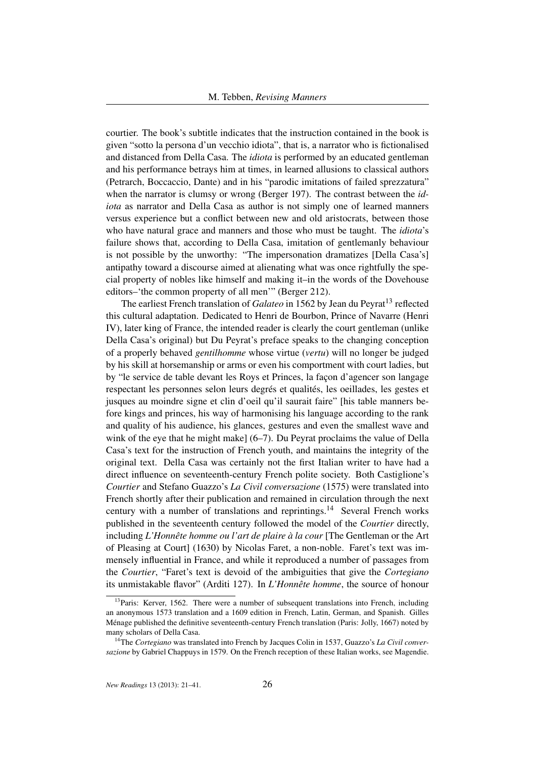courtier. The book's subtitle indicates that the instruction contained in the book is given "sotto la persona d'un vecchio idiota", that is, a narrator who is fictionalised and distanced from Della Casa. The *idiota* is performed by an educated gentleman and his performance betrays him at times, in learned allusions to classical authors (Petrarch, Boccaccio, Dante) and in his "parodic imitations of failed sprezzatura" when the narrator is clumsy or wrong (Berger 197). The contrast between the *idiota* as narrator and Della Casa as author is not simply one of learned manners versus experience but a conflict between new and old aristocrats, between those who have natural grace and manners and those who must be taught. The *idiota*'s failure shows that, according to Della Casa, imitation of gentlemanly behaviour is not possible by the unworthy: "The impersonation dramatizes [Della Casa's] antipathy toward a discourse aimed at alienating what was once rightfully the special property of nobles like himself and making it–in the words of the Dovehouse editors–'the common property of all men'" (Berger 212).

The earliest French translation of *Galateo* in 1562 by Jean du Peyrat<sup>13</sup> reflected this cultural adaptation. Dedicated to Henri de Bourbon, Prince of Navarre (Henri IV), later king of France, the intended reader is clearly the court gentleman (unlike Della Casa's original) but Du Peyrat's preface speaks to the changing conception of a properly behaved *gentilhomme* whose virtue (*vertu*) will no longer be judged by his skill at horsemanship or arms or even his comportment with court ladies, but by "le service de table devant les Roys et Princes, la façon d'agencer son langage respectant les personnes selon leurs degrés et qualités, les oeillades, les gestes et jusques au moindre signe et clin d'oeil qu'il saurait faire" [his table manners before kings and princes, his way of harmonising his language according to the rank and quality of his audience, his glances, gestures and even the smallest wave and wink of the eye that he might make] (6–7). Du Peyrat proclaims the value of Della Casa's text for the instruction of French youth, and maintains the integrity of the original text. Della Casa was certainly not the first Italian writer to have had a direct influence on seventeenth-century French polite society. Both Castiglione's *Courtier* and Stefano Guazzo's *La Civil conversazione* (1575) were translated into French shortly after their publication and remained in circulation through the next century with a number of translations and reprintings.<sup>14</sup> Several French works published in the seventeenth century followed the model of the *Courtier* directly, including *L'Honnête homme ou l'art de plaire à la cour* [The Gentleman or the Art of Pleasing at Court] (1630) by Nicolas Faret, a non-noble. Faret's text was immensely influential in France, and while it reproduced a number of passages from the *Courtier*, "Faret's text is devoid of the ambiguities that give the *Cortegiano* its unmistakable flavor" (Arditi 127). In *L'Honnête homme*, the source of honour

<sup>&</sup>lt;sup>13</sup>Paris: Kerver, 1562. There were a number of subsequent translations into French, including an anonymous 1573 translation and a 1609 edition in French, Latin, German, and Spanish. Gilles Ménage published the definitive seventeenth-century French translation (Paris: Jolly, 1667) noted by many scholars of Della Casa.

<sup>14</sup>The *Cortegiano* was translated into French by Jacques Colin in 1537, Guazzo's *La Civil conversazione* by Gabriel Chappuys in 1579. On the French reception of these Italian works, see Magendie.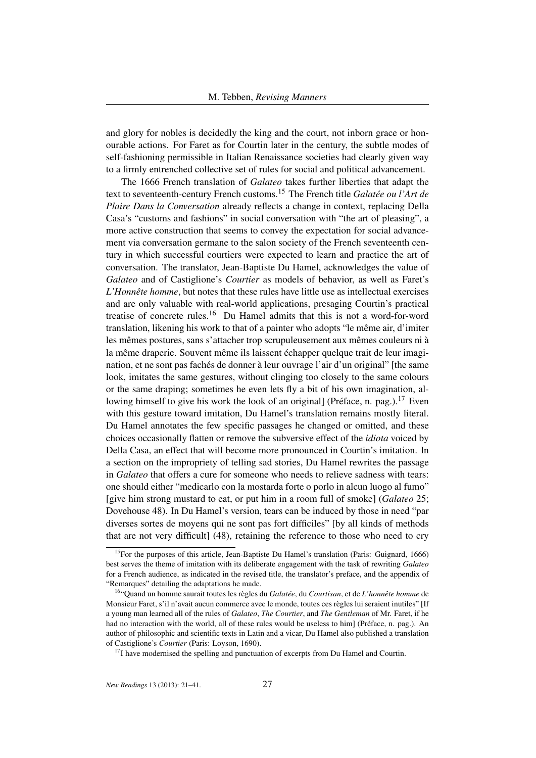and glory for nobles is decidedly the king and the court, not inborn grace or honourable actions. For Faret as for Courtin later in the century, the subtle modes of self-fashioning permissible in Italian Renaissance societies had clearly given way to a firmly entrenched collective set of rules for social and political advancement.

The 1666 French translation of *Galateo* takes further liberties that adapt the text to seventeenth-century French customs.<sup>15</sup> The French title *Galatée ou l'Art de Plaire Dans la Conversation* already reflects a change in context, replacing Della Casa's "customs and fashions" in social conversation with "the art of pleasing", a more active construction that seems to convey the expectation for social advancement via conversation germane to the salon society of the French seventeenth century in which successful courtiers were expected to learn and practice the art of conversation. The translator, Jean-Baptiste Du Hamel, acknowledges the value of *Galateo* and of Castiglione's *Courtier* as models of behavior, as well as Faret's *L'Honnête homme*, but notes that these rules have little use as intellectual exercises and are only valuable with real-world applications, presaging Courtin's practical treatise of concrete rules.<sup>16</sup> Du Hamel admits that this is not a word-for-word translation, likening his work to that of a painter who adopts "le même air, d'imiter les mêmes postures, sans s'attacher trop scrupuleusement aux mêmes couleurs ni à la même draperie. Souvent même ils laissent échapper quelque trait de leur imagination, et ne sont pas fachés de donner à leur ouvrage l'air d'un original" [the same look, imitates the same gestures, without clinging too closely to the same colours or the same draping; sometimes he even lets fly a bit of his own imagination, allowing himself to give his work the look of an original] (Préface, n. pag.).<sup>17</sup> Even with this gesture toward imitation, Du Hamel's translation remains mostly literal. Du Hamel annotates the few specific passages he changed or omitted, and these choices occasionally flatten or remove the subversive effect of the *idiota* voiced by Della Casa, an effect that will become more pronounced in Courtin's imitation. In a section on the impropriety of telling sad stories, Du Hamel rewrites the passage in *Galateo* that offers a cure for someone who needs to relieve sadness with tears: one should either "medicarlo con la mostarda forte o porlo in alcun luogo al fumo" [give him strong mustard to eat, or put him in a room full of smoke] (*Galateo* 25; Dovehouse 48). In Du Hamel's version, tears can be induced by those in need "par diverses sortes de moyens qui ne sont pas fort difficiles" [by all kinds of methods that are not very difficult] (48), retaining the reference to those who need to cry

 $17$ I have modernised the spelling and punctuation of excerpts from Du Hamel and Courtin.

<sup>&</sup>lt;sup>15</sup>For the purposes of this article, Jean-Baptiste Du Hamel's translation (Paris: Guignard, 1666) best serves the theme of imitation with its deliberate engagement with the task of rewriting *Galateo* for a French audience, as indicated in the revised title, the translator's preface, and the appendix of "Remarques" detailing the adaptations he made.

<sup>16</sup>"Quand un homme saurait toutes les règles du *Galatée*, du *Courtisan*, et de *L'honnête homme* de Monsieur Faret, s'il n'avait aucun commerce avec le monde, toutes ces règles lui seraient inutiles" [If a young man learned all of the rules of *Galateo*, *The Courtier*, and *The Gentleman* of Mr. Faret, if he had no interaction with the world, all of these rules would be useless to him] (Préface, n. pag.). An author of philosophic and scientific texts in Latin and a vicar, Du Hamel also published a translation of Castiglione's *Courtier* (Paris: Loyson, 1690).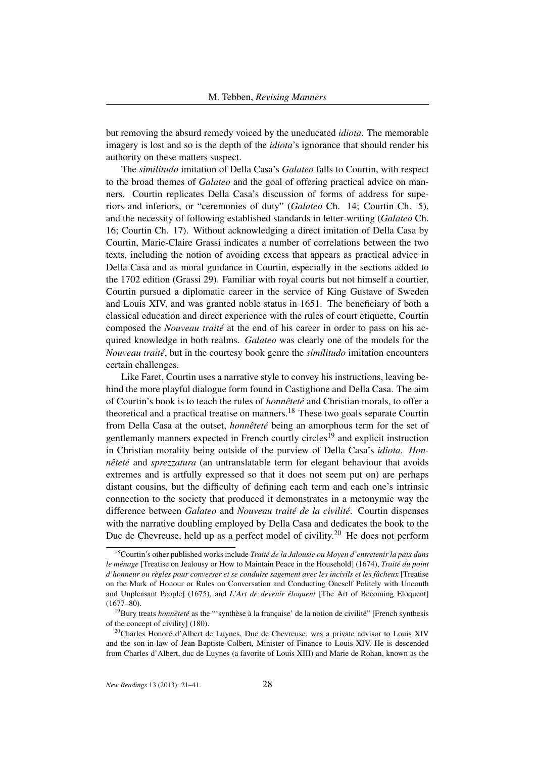but removing the absurd remedy voiced by the uneducated *idiota*. The memorable imagery is lost and so is the depth of the *idiota*'s ignorance that should render his authority on these matters suspect.

The *similitudo* imitation of Della Casa's *Galateo* falls to Courtin, with respect to the broad themes of *Galateo* and the goal of offering practical advice on manners. Courtin replicates Della Casa's discussion of forms of address for superiors and inferiors, or "ceremonies of duty" (*Galateo* Ch. 14; Courtin Ch. 5), and the necessity of following established standards in letter-writing (*Galateo* Ch. 16; Courtin Ch. 17). Without acknowledging a direct imitation of Della Casa by Courtin, Marie-Claire Grassi indicates a number of correlations between the two texts, including the notion of avoiding excess that appears as practical advice in Della Casa and as moral guidance in Courtin, especially in the sections added to the 1702 edition (Grassi 29). Familiar with royal courts but not himself a courtier, Courtin pursued a diplomatic career in the service of King Gustave of Sweden and Louis XIV, and was granted noble status in 1651. The beneficiary of both a classical education and direct experience with the rules of court etiquette, Courtin composed the *Nouveau traité* at the end of his career in order to pass on his acquired knowledge in both realms. *Galateo* was clearly one of the models for the *Nouveau traité*, but in the courtesy book genre the *similitudo* imitation encounters certain challenges.

Like Faret, Courtin uses a narrative style to convey his instructions, leaving behind the more playful dialogue form found in Castiglione and Della Casa. The aim of Courtin's book is to teach the rules of *honnêteté* and Christian morals, to offer a theoretical and a practical treatise on manners.<sup>18</sup> These two goals separate Courtin from Della Casa at the outset, *honnêteté* being an amorphous term for the set of gentlemanly manners expected in French courtly circles<sup>19</sup> and explicit instruction in Christian morality being outside of the purview of Della Casa's *idiota*. *Honnêteté* and *sprezzatura* (an untranslatable term for elegant behaviour that avoids extremes and is artfully expressed so that it does not seem put on) are perhaps distant cousins, but the difficulty of defining each term and each one's intrinsic connection to the society that produced it demonstrates in a metonymic way the difference between *Galateo* and *Nouveau traité de la civilité*. Courtin dispenses with the narrative doubling employed by Della Casa and dedicates the book to the Duc de Chevreuse, held up as a perfect model of civility.<sup>20</sup> He does not perform

<sup>18</sup>Courtin's other published works include *Traité de la Jalousie ou Moyen d'entretenir la paix dans le ménage* [Treatise on Jealousy or How to Maintain Peace in the Household] (1674), *Traité du point d'honneur ou règles pour converser et se conduire sagement avec les incivils et les fâcheux* [Treatise on the Mark of Honour or Rules on Conversation and Conducting Oneself Politely with Uncouth and Unpleasant People] (1675), and *L'Art de devenir éloquent* [The Art of Becoming Eloquent]  $(1677 - 80)$ .

<sup>19</sup>Bury treats *honnêteté* as the "'synthèse à la française' de la notion de civilité" [French synthesis of the concept of civility] (180).

 $20$ Charles Honoré d'Albert de Luynes, Duc de Chevreuse, was a private advisor to Louis XIV and the son-in-law of Jean-Baptiste Colbert, Minister of Finance to Louis XIV. He is descended from Charles d'Albert, duc de Luynes (a favorite of Louis XIII) and Marie de Rohan, known as the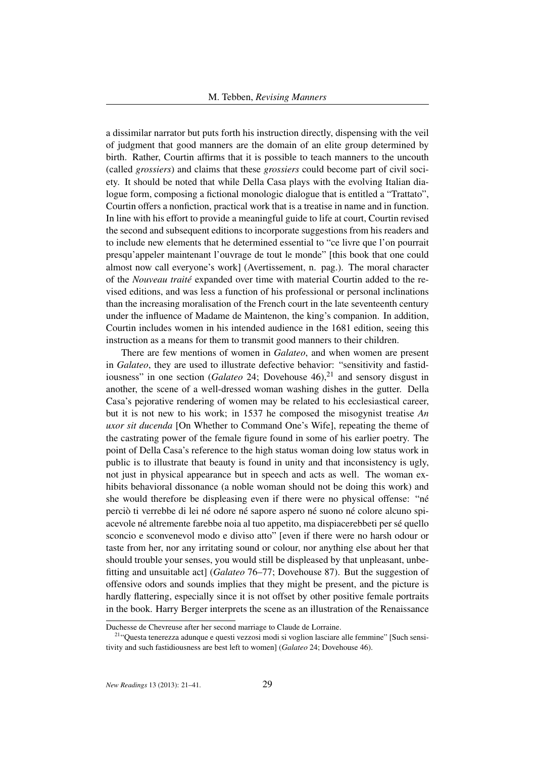a dissimilar narrator but puts forth his instruction directly, dispensing with the veil of judgment that good manners are the domain of an elite group determined by birth. Rather, Courtin affirms that it is possible to teach manners to the uncouth (called *grossiers*) and claims that these *grossiers* could become part of civil society. It should be noted that while Della Casa plays with the evolving Italian dialogue form, composing a fictional monologic dialogue that is entitled a "Trattato", Courtin offers a nonfiction, practical work that is a treatise in name and in function. In line with his effort to provide a meaningful guide to life at court, Courtin revised the second and subsequent editions to incorporate suggestions from his readers and to include new elements that he determined essential to "ce livre que l'on pourrait presqu'appeler maintenant l'ouvrage de tout le monde" [this book that one could almost now call everyone's work] (Avertissement, n. pag.). The moral character of the *Nouveau traité* expanded over time with material Courtin added to the revised editions, and was less a function of his professional or personal inclinations than the increasing moralisation of the French court in the late seventeenth century under the influence of Madame de Maintenon, the king's companion. In addition, Courtin includes women in his intended audience in the 1681 edition, seeing this instruction as a means for them to transmit good manners to their children.

There are few mentions of women in *Galateo*, and when women are present in *Galateo*, they are used to illustrate defective behavior: "sensitivity and fastidiousness" in one section (*Galateo* 24; Dovehouse 46),<sup>21</sup> and sensory disgust in another, the scene of a well-dressed woman washing dishes in the gutter. Della Casa's pejorative rendering of women may be related to his ecclesiastical career, but it is not new to his work; in 1537 he composed the misogynist treatise *An uxor sit ducenda* [On Whether to Command One's Wife], repeating the theme of the castrating power of the female figure found in some of his earlier poetry. The point of Della Casa's reference to the high status woman doing low status work in public is to illustrate that beauty is found in unity and that inconsistency is ugly, not just in physical appearance but in speech and acts as well. The woman exhibits behavioral dissonance (a noble woman should not be doing this work) and she would therefore be displeasing even if there were no physical offense: "né perciò ti verrebbe di lei né odore né sapore aspero né suono né colore alcuno spiacevole né altremente farebbe noia al tuo appetito, ma dispiacerebbeti per sé quello sconcio e sconvenevol modo e diviso atto" [even if there were no harsh odour or taste from her, nor any irritating sound or colour, nor anything else about her that should trouble your senses, you would still be displeased by that unpleasant, unbefitting and unsuitable act] (*Galateo* 76–77; Dovehouse 87). But the suggestion of offensive odors and sounds implies that they might be present, and the picture is hardly flattering, especially since it is not offset by other positive female portraits in the book. Harry Berger interprets the scene as an illustration of the Renaissance

Duchesse de Chevreuse after her second marriage to Claude de Lorraine.

<sup>21</sup>"Questa tenerezza adunque e questi vezzosi modi si voglion lasciare alle femmine" [Such sensitivity and such fastidiousness are best left to women] (*Galateo* 24; Dovehouse 46).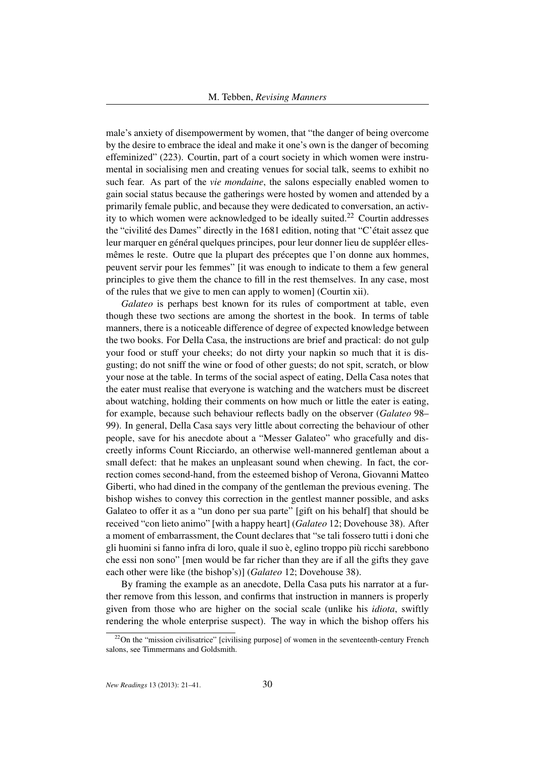male's anxiety of disempowerment by women, that "the danger of being overcome by the desire to embrace the ideal and make it one's own is the danger of becoming effeminized" (223). Courtin, part of a court society in which women were instrumental in socialising men and creating venues for social talk, seems to exhibit no such fear. As part of the *vie mondaine*, the salons especially enabled women to gain social status because the gatherings were hosted by women and attended by a primarily female public, and because they were dedicated to conversation, an activity to which women were acknowledged to be ideally suited.<sup>22</sup> Courtin addresses the "civilité des Dames" directly in the 1681 edition, noting that "C'était assez que leur marquer en général quelques principes, pour leur donner lieu de suppléer ellesmêmes le reste. Outre que la plupart des préceptes que l'on donne aux hommes, peuvent servir pour les femmes" [it was enough to indicate to them a few general principles to give them the chance to fill in the rest themselves. In any case, most of the rules that we give to men can apply to women] (Courtin xii).

*Galateo* is perhaps best known for its rules of comportment at table, even though these two sections are among the shortest in the book. In terms of table manners, there is a noticeable difference of degree of expected knowledge between the two books. For Della Casa, the instructions are brief and practical: do not gulp your food or stuff your cheeks; do not dirty your napkin so much that it is disgusting; do not sniff the wine or food of other guests; do not spit, scratch, or blow your nose at the table. In terms of the social aspect of eating, Della Casa notes that the eater must realise that everyone is watching and the watchers must be discreet about watching, holding their comments on how much or little the eater is eating, for example, because such behaviour reflects badly on the observer (*Galateo* 98– 99). In general, Della Casa says very little about correcting the behaviour of other people, save for his anecdote about a "Messer Galateo" who gracefully and discreetly informs Count Ricciardo, an otherwise well-mannered gentleman about a small defect: that he makes an unpleasant sound when chewing. In fact, the correction comes second-hand, from the esteemed bishop of Verona, Giovanni Matteo Giberti, who had dined in the company of the gentleman the previous evening. The bishop wishes to convey this correction in the gentlest manner possible, and asks Galateo to offer it as a "un dono per sua parte" [gift on his behalf] that should be received "con lieto animo" [with a happy heart] (*Galateo* 12; Dovehouse 38). After a moment of embarrassment, the Count declares that "se tali fossero tutti i doni che gli huomini si fanno infra di loro, quale il suo è, eglino troppo più ricchi sarebbono che essi non sono" [men would be far richer than they are if all the gifts they gave each other were like (the bishop's)] (*Galateo* 12; Dovehouse 38).

By framing the example as an anecdote, Della Casa puts his narrator at a further remove from this lesson, and confirms that instruction in manners is properly given from those who are higher on the social scale (unlike his *idiota*, swiftly rendering the whole enterprise suspect). The way in which the bishop offers his

<sup>&</sup>lt;sup>22</sup>On the "mission civilisatrice" [civilising purpose] of women in the seventeenth-century French salons, see Timmermans and Goldsmith.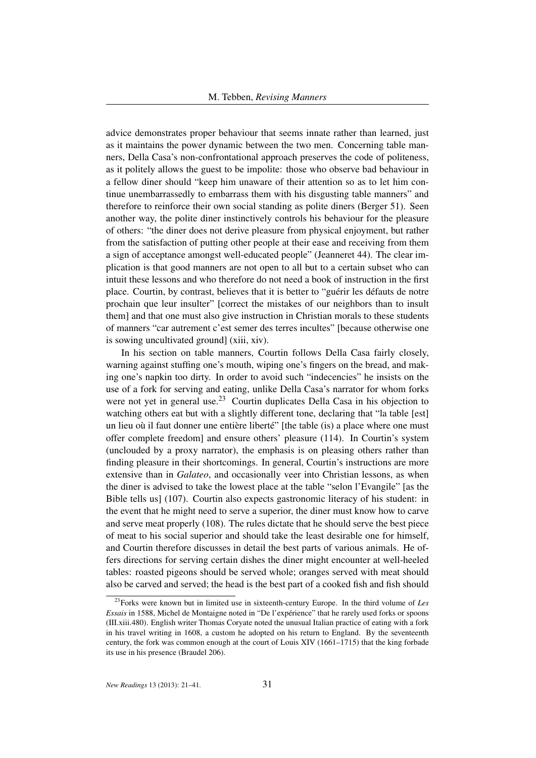advice demonstrates proper behaviour that seems innate rather than learned, just as it maintains the power dynamic between the two men. Concerning table manners, Della Casa's non-confrontational approach preserves the code of politeness, as it politely allows the guest to be impolite: those who observe bad behaviour in a fellow diner should "keep him unaware of their attention so as to let him continue unembarrassedly to embarrass them with his disgusting table manners" and therefore to reinforce their own social standing as polite diners (Berger 51). Seen another way, the polite diner instinctively controls his behaviour for the pleasure of others: "the diner does not derive pleasure from physical enjoyment, but rather from the satisfaction of putting other people at their ease and receiving from them a sign of acceptance amongst well-educated people" (Jeanneret 44). The clear implication is that good manners are not open to all but to a certain subset who can intuit these lessons and who therefore do not need a book of instruction in the first place. Courtin, by contrast, believes that it is better to "guérir les défauts de notre prochain que leur insulter" [correct the mistakes of our neighbors than to insult them] and that one must also give instruction in Christian morals to these students of manners "car autrement c'est semer des terres incultes" [because otherwise one is sowing uncultivated ground] (xiii, xiv).

In his section on table manners, Courtin follows Della Casa fairly closely, warning against stuffing one's mouth, wiping one's fingers on the bread, and making one's napkin too dirty. In order to avoid such "indecencies" he insists on the use of a fork for serving and eating, unlike Della Casa's narrator for whom forks were not yet in general use.<sup>23</sup> Courtin duplicates Della Casa in his objection to watching others eat but with a slightly different tone, declaring that "la table [est] un lieu où il faut donner une entière liberté" [the table (is) a place where one must offer complete freedom] and ensure others' pleasure (114). In Courtin's system (unclouded by a proxy narrator), the emphasis is on pleasing others rather than finding pleasure in their shortcomings. In general, Courtin's instructions are more extensive than in *Galateo*, and occasionally veer into Christian lessons, as when the diner is advised to take the lowest place at the table "selon l'Evangile" [as the Bible tells us] (107). Courtin also expects gastronomic literacy of his student: in the event that he might need to serve a superior, the diner must know how to carve and serve meat properly (108). The rules dictate that he should serve the best piece of meat to his social superior and should take the least desirable one for himself, and Courtin therefore discusses in detail the best parts of various animals. He offers directions for serving certain dishes the diner might encounter at well-heeled tables: roasted pigeons should be served whole; oranges served with meat should also be carved and served; the head is the best part of a cooked fish and fish should

<sup>23</sup>Forks were known but in limited use in sixteenth-century Europe. In the third volume of *Les Essais* in 1588, Michel de Montaigne noted in "De l'expérience" that he rarely used forks or spoons (III.xiii.480). English writer Thomas Coryate noted the unusual Italian practice of eating with a fork in his travel writing in 1608, a custom he adopted on his return to England. By the seventeenth century, the fork was common enough at the court of Louis XIV (1661–1715) that the king forbade its use in his presence (Braudel 206).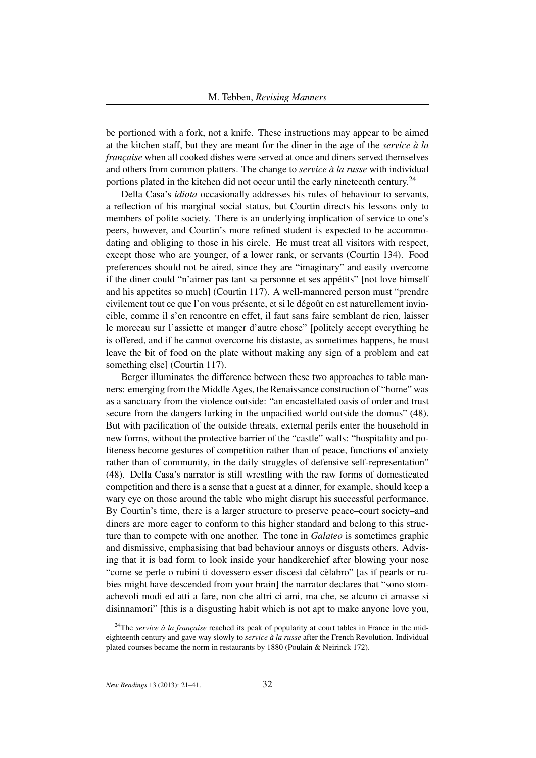be portioned with a fork, not a knife. These instructions may appear to be aimed at the kitchen staff, but they are meant for the diner in the age of the *service à la française* when all cooked dishes were served at once and diners served themselves and others from common platters. The change to *service à la russe* with individual portions plated in the kitchen did not occur until the early nineteenth century.<sup>24</sup>

Della Casa's *idiota* occasionally addresses his rules of behaviour to servants, a reflection of his marginal social status, but Courtin directs his lessons only to members of polite society. There is an underlying implication of service to one's peers, however, and Courtin's more refined student is expected to be accommodating and obliging to those in his circle. He must treat all visitors with respect, except those who are younger, of a lower rank, or servants (Courtin 134). Food preferences should not be aired, since they are "imaginary" and easily overcome if the diner could "n'aimer pas tant sa personne et ses appétits" [not love himself and his appetites so much] (Courtin 117). A well-mannered person must "prendre civilement tout ce que l'on vous présente, et si le dégoût en est naturellement invincible, comme il s'en rencontre en effet, il faut sans faire semblant de rien, laisser le morceau sur l'assiette et manger d'autre chose" [politely accept everything he is offered, and if he cannot overcome his distaste, as sometimes happens, he must leave the bit of food on the plate without making any sign of a problem and eat something else] (Courtin 117).

Berger illuminates the difference between these two approaches to table manners: emerging from the Middle Ages, the Renaissance construction of "home" was as a sanctuary from the violence outside: "an encastellated oasis of order and trust secure from the dangers lurking in the unpacified world outside the domus" (48). But with pacification of the outside threats, external perils enter the household in new forms, without the protective barrier of the "castle" walls: "hospitality and politeness become gestures of competition rather than of peace, functions of anxiety rather than of community, in the daily struggles of defensive self-representation" (48). Della Casa's narrator is still wrestling with the raw forms of domesticated competition and there is a sense that a guest at a dinner, for example, should keep a wary eye on those around the table who might disrupt his successful performance. By Courtin's time, there is a larger structure to preserve peace–court society–and diners are more eager to conform to this higher standard and belong to this structure than to compete with one another. The tone in *Galateo* is sometimes graphic and dismissive, emphasising that bad behaviour annoys or disgusts others. Advising that it is bad form to look inside your handkerchief after blowing your nose "come se perle o rubini ti dovessero esser discesi dal cèlabro" [as if pearls or rubies might have descended from your brain] the narrator declares that "sono stomachevoli modi ed atti a fare, non che altri ci ami, ma che, se alcuno ci amasse si disinnamori" [this is a disgusting habit which is not apt to make anyone love you,

<sup>&</sup>lt;sup>24</sup>The *service à la française* reached its peak of popularity at court tables in France in the mideighteenth century and gave way slowly to *service à la russe* after the French Revolution. Individual plated courses became the norm in restaurants by 1880 (Poulain & Neirinck 172).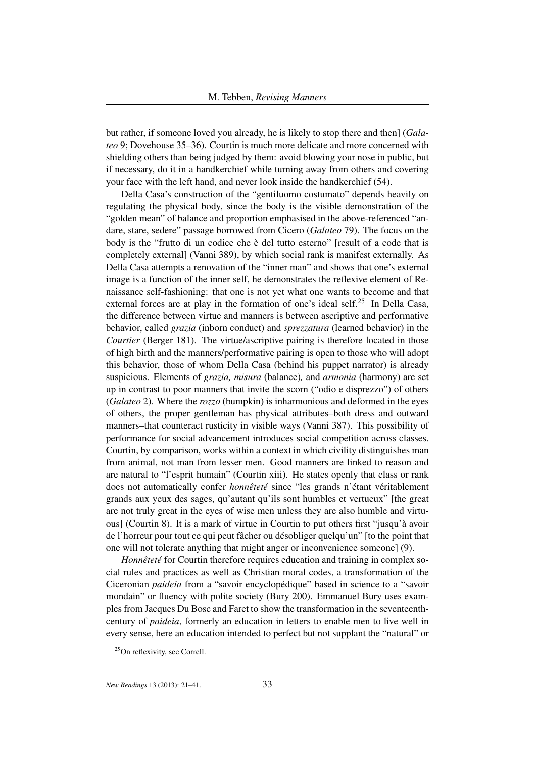but rather, if someone loved you already, he is likely to stop there and then] (*Galateo* 9; Dovehouse 35–36). Courtin is much more delicate and more concerned with shielding others than being judged by them: avoid blowing your nose in public, but if necessary, do it in a handkerchief while turning away from others and covering your face with the left hand, and never look inside the handkerchief (54).

Della Casa's construction of the "gentiluomo costumato" depends heavily on regulating the physical body, since the body is the visible demonstration of the "golden mean" of balance and proportion emphasised in the above-referenced "andare, stare, sedere" passage borrowed from Cicero (*Galateo* 79). The focus on the body is the "frutto di un codice che è del tutto esterno" [result of a code that is completely external] (Vanni 389), by which social rank is manifest externally. As Della Casa attempts a renovation of the "inner man" and shows that one's external image is a function of the inner self, he demonstrates the reflexive element of Renaissance self-fashioning: that one is not yet what one wants to become and that external forces are at play in the formation of one's ideal self.<sup>25</sup> In Della Casa, the difference between virtue and manners is between ascriptive and performative behavior, called *grazia* (inborn conduct) and *sprezzatura* (learned behavior) in the *Courtier* (Berger 181). The virtue/ascriptive pairing is therefore located in those of high birth and the manners/performative pairing is open to those who will adopt this behavior, those of whom Della Casa (behind his puppet narrator) is already suspicious. Elements of *grazia, misura* (balance)*,* and *armonia* (harmony) are set up in contrast to poor manners that invite the scorn ("odio e disprezzo") of others (*Galateo* 2). Where the *rozzo* (bumpkin) is inharmonious and deformed in the eyes of others, the proper gentleman has physical attributes–both dress and outward manners–that counteract rusticity in visible ways (Vanni 387). This possibility of performance for social advancement introduces social competition across classes. Courtin, by comparison, works within a context in which civility distinguishes man from animal, not man from lesser men. Good manners are linked to reason and are natural to "l'esprit humain" (Courtin xiii). He states openly that class or rank does not automatically confer *honnêteté* since "les grands n'étant véritablement grands aux yeux des sages, qu'autant qu'ils sont humbles et vertueux" [the great are not truly great in the eyes of wise men unless they are also humble and virtuous] (Courtin 8). It is a mark of virtue in Courtin to put others first "jusqu'à avoir de l'horreur pour tout ce qui peut fâcher ou désobliger quelqu'un" [to the point that one will not tolerate anything that might anger or inconvenience someone] (9).

*Honnêteté* for Courtin therefore requires education and training in complex social rules and practices as well as Christian moral codes, a transformation of the Ciceronian *paideia* from a "savoir encyclopédique" based in science to a "savoir mondain" or fluency with polite society (Bury 200). Emmanuel Bury uses examples from Jacques Du Bosc and Faret to show the transformation in the seventeenthcentury of *paideia*, formerly an education in letters to enable men to live well in every sense, here an education intended to perfect but not supplant the "natural" or

<sup>&</sup>lt;sup>25</sup>On reflexivity, see Correll.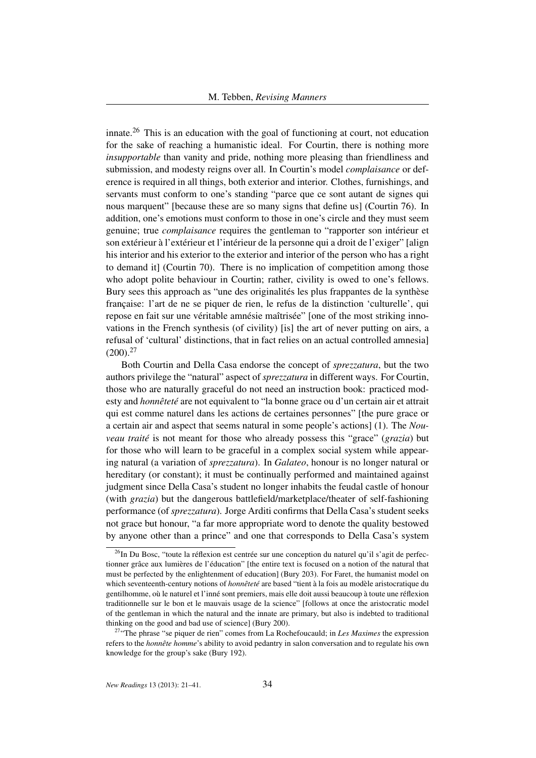innate.<sup>26</sup> This is an education with the goal of functioning at court, not education for the sake of reaching a humanistic ideal. For Courtin, there is nothing more *insupportable* than vanity and pride, nothing more pleasing than friendliness and submission, and modesty reigns over all. In Courtin's model *complaisance* or deference is required in all things, both exterior and interior. Clothes, furnishings, and servants must conform to one's standing "parce que ce sont autant de signes qui nous marquent" [because these are so many signs that define us] (Courtin 76). In addition, one's emotions must conform to those in one's circle and they must seem genuine; true *complaisance* requires the gentleman to "rapporter son intérieur et son extérieur à l'extérieur et l'intérieur de la personne qui a droit de l'exiger" [align his interior and his exterior to the exterior and interior of the person who has a right to demand it] (Courtin 70). There is no implication of competition among those who adopt polite behaviour in Courtin; rather, civility is owed to one's fellows. Bury sees this approach as "une des originalités les plus frappantes de la synthèse française: l'art de ne se piquer de rien, le refus de la distinction 'culturelle', qui repose en fait sur une véritable amnésie maîtrisée" [one of the most striking innovations in the French synthesis (of civility) [is] the art of never putting on airs, a refusal of 'cultural' distinctions, that in fact relies on an actual controlled amnesia]  $(200).^{27}$ 

Both Courtin and Della Casa endorse the concept of *sprezzatura*, but the two authors privilege the "natural" aspect of *sprezzatura* in different ways. For Courtin, those who are naturally graceful do not need an instruction book: practiced modesty and *honnêteté* are not equivalent to "la bonne grace ou d'un certain air et attrait qui est comme naturel dans les actions de certaines personnes" [the pure grace or a certain air and aspect that seems natural in some people's actions] (1). The *Nouveau traité* is not meant for those who already possess this "grace" (*grazia*) but for those who will learn to be graceful in a complex social system while appearing natural (a variation of *sprezzatura*). In *Galateo*, honour is no longer natural or hereditary (or constant); it must be continually performed and maintained against judgment since Della Casa's student no longer inhabits the feudal castle of honour (with *grazia*) but the dangerous battlefield/marketplace/theater of self-fashioning performance (of *sprezzatura*). Jorge Arditi confirms that Della Casa's student seeks not grace but honour, "a far more appropriate word to denote the quality bestowed by anyone other than a prince" and one that corresponds to Della Casa's system

 $^{26}$ In Du Bosc, "toute la réflexion est centrée sur une conception du naturel qu'il s'agit de perfectionner grâce aux lumières de l'éducation" [the entire text is focused on a notion of the natural that must be perfected by the enlightenment of education] (Bury 203). For Faret, the humanist model on which seventeenth-century notions of *honnêteté* are based "tient à la fois au modèle aristocratique du gentilhomme, où le naturel et l'inné sont premiers, mais elle doit aussi beaucoup à toute une réflexion traditionnelle sur le bon et le mauvais usage de la science" [follows at once the aristocratic model of the gentleman in which the natural and the innate are primary, but also is indebted to traditional thinking on the good and bad use of science] (Bury 200).

<sup>&</sup>lt;sup>27"</sup>The phrase "se piquer de rien" comes from La Rochefoucauld; in *Les Maximes* the expression refers to the *honnête homme*'s ability to avoid pedantry in salon conversation and to regulate his own knowledge for the group's sake (Bury 192).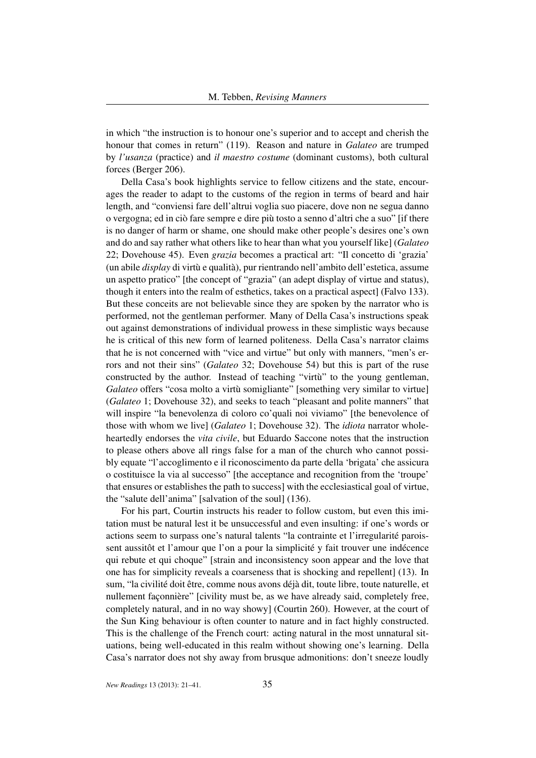in which "the instruction is to honour one's superior and to accept and cherish the honour that comes in return" (119). Reason and nature in *Galateo* are trumped by *l'usanza* (practice) and *il maestro costume* (dominant customs), both cultural forces (Berger 206).

Della Casa's book highlights service to fellow citizens and the state, encourages the reader to adapt to the customs of the region in terms of beard and hair length, and "conviensi fare dell'altrui voglia suo piacere, dove non ne segua danno o vergogna; ed in ciò fare sempre e dire più tosto a senno d'altri che a suo" [if there is no danger of harm or shame, one should make other people's desires one's own and do and say rather what others like to hear than what you yourself like] (*Galateo* 22; Dovehouse 45). Even *grazia* becomes a practical art: "Il concetto di 'grazia' (un abile *display* di virtù e qualità), pur rientrando nell'ambito dell'estetica, assume un aspetto pratico" [the concept of "grazia" (an adept display of virtue and status), though it enters into the realm of esthetics, takes on a practical aspect] (Falvo 133). But these conceits are not believable since they are spoken by the narrator who is performed, not the gentleman performer. Many of Della Casa's instructions speak out against demonstrations of individual prowess in these simplistic ways because he is critical of this new form of learned politeness. Della Casa's narrator claims that he is not concerned with "vice and virtue" but only with manners, "men's errors and not their sins" (*Galateo* 32; Dovehouse 54) but this is part of the ruse constructed by the author. Instead of teaching "virtù" to the young gentleman, *Galateo* offers "cosa molto a virtù somigliante" [something very similar to virtue] (*Galateo* 1; Dovehouse 32), and seeks to teach "pleasant and polite manners" that will inspire "la benevolenza di coloro co'quali noi viviamo" [the benevolence of those with whom we live] (*Galateo* 1; Dovehouse 32). The *idiota* narrator wholeheartedly endorses the *vita civile*, but Eduardo Saccone notes that the instruction to please others above all rings false for a man of the church who cannot possibly equate "l'accoglimento e il riconoscimento da parte della 'brigata' che assicura o costituisce la via al successo" [the acceptance and recognition from the 'troupe' that ensures or establishes the path to success] with the ecclesiastical goal of virtue, the "salute dell'anima" [salvation of the soul] (136).

For his part, Courtin instructs his reader to follow custom, but even this imitation must be natural lest it be unsuccessful and even insulting: if one's words or actions seem to surpass one's natural talents "la contrainte et l'irregularité paroissent aussitôt et l'amour que l'on a pour la simplicité y fait trouver une indécence qui rebute et qui choque" [strain and inconsistency soon appear and the love that one has for simplicity reveals a coarseness that is shocking and repellent] (13). In sum, "la civilité doit être, comme nous avons déjà dit, toute libre, toute naturelle, et nullement façonnière" [civility must be, as we have already said, completely free, completely natural, and in no way showy] (Courtin 260). However, at the court of the Sun King behaviour is often counter to nature and in fact highly constructed. This is the challenge of the French court: acting natural in the most unnatural situations, being well-educated in this realm without showing one's learning. Della Casa's narrator does not shy away from brusque admonitions: don't sneeze loudly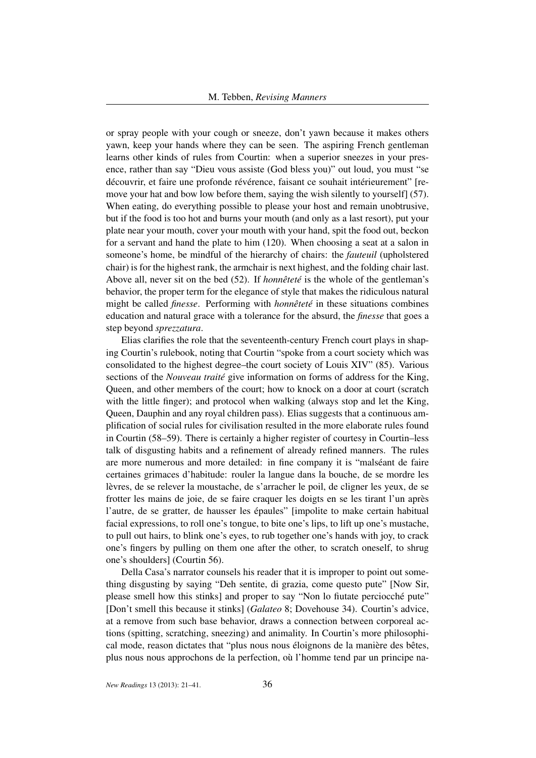or spray people with your cough or sneeze, don't yawn because it makes others yawn, keep your hands where they can be seen. The aspiring French gentleman learns other kinds of rules from Courtin: when a superior sneezes in your presence, rather than say "Dieu vous assiste (God bless you)" out loud, you must "se découvrir, et faire une profonde révérence, faisant ce souhait intérieurement" [remove your hat and bow low before them, saying the wish silently to yourself] (57). When eating, do everything possible to please your host and remain unobtrusive, but if the food is too hot and burns your mouth (and only as a last resort), put your plate near your mouth, cover your mouth with your hand, spit the food out, beckon for a servant and hand the plate to him (120). When choosing a seat at a salon in someone's home, be mindful of the hierarchy of chairs: the *fauteuil* (upholstered chair) is for the highest rank, the armchair is next highest, and the folding chair last. Above all, never sit on the bed (52). If *honnêteté* is the whole of the gentleman's behavior, the proper term for the elegance of style that makes the ridiculous natural might be called *finesse*. Performing with *honnêteté* in these situations combines education and natural grace with a tolerance for the absurd, the *finesse* that goes a step beyond *sprezzatura*.

Elias clarifies the role that the seventeenth-century French court plays in shaping Courtin's rulebook, noting that Courtin "spoke from a court society which was consolidated to the highest degree–the court society of Louis XIV" (85). Various sections of the *Nouveau traité* give information on forms of address for the King, Queen, and other members of the court; how to knock on a door at court (scratch with the little finger); and protocol when walking (always stop and let the King, Queen, Dauphin and any royal children pass). Elias suggests that a continuous amplification of social rules for civilisation resulted in the more elaborate rules found in Courtin (58–59). There is certainly a higher register of courtesy in Courtin–less talk of disgusting habits and a refinement of already refined manners. The rules are more numerous and more detailed: in fine company it is "malséant de faire certaines grimaces d'habitude: rouler la langue dans la bouche, de se mordre les lèvres, de se relever la moustache, de s'arracher le poil, de cligner les yeux, de se frotter les mains de joie, de se faire craquer les doigts en se les tirant l'un après l'autre, de se gratter, de hausser les épaules" [impolite to make certain habitual facial expressions, to roll one's tongue, to bite one's lips, to lift up one's mustache, to pull out hairs, to blink one's eyes, to rub together one's hands with joy, to crack one's fingers by pulling on them one after the other, to scratch oneself, to shrug one's shoulders] (Courtin 56).

Della Casa's narrator counsels his reader that it is improper to point out something disgusting by saying "Deh sentite, di grazia, come questo pute" [Now Sir, please smell how this stinks] and proper to say "Non lo fiutate perciocché pute" [Don't smell this because it stinks] (*Galateo* 8; Dovehouse 34). Courtin's advice, at a remove from such base behavior, draws a connection between corporeal actions (spitting, scratching, sneezing) and animality. In Courtin's more philosophical mode, reason dictates that "plus nous nous éloignons de la manière des bêtes, plus nous nous approchons de la perfection, où l'homme tend par un principe na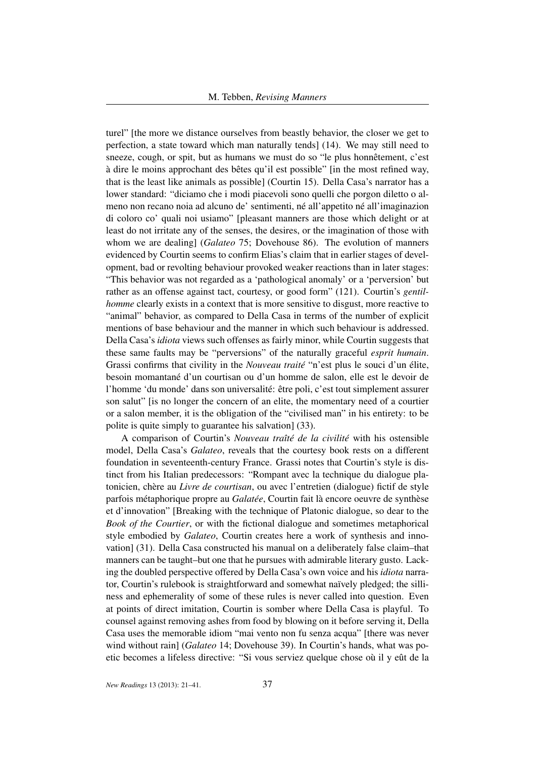turel" [the more we distance ourselves from beastly behavior, the closer we get to perfection, a state toward which man naturally tends] (14). We may still need to sneeze, cough, or spit, but as humans we must do so "le plus honnêtement, c'est à dire le moins approchant des bêtes qu'il est possible" [in the most refined way, that is the least like animals as possible] (Courtin 15). Della Casa's narrator has a lower standard: "diciamo che i modi piacevoli sono quelli che porgon diletto o almeno non recano noia ad alcuno de' sentimenti, né all'appetito né all'imaginazion di coloro co' quali noi usiamo" [pleasant manners are those which delight or at least do not irritate any of the senses, the desires, or the imagination of those with whom we are dealing] (*Galateo* 75; Dovehouse 86). The evolution of manners evidenced by Courtin seems to confirm Elias's claim that in earlier stages of development, bad or revolting behaviour provoked weaker reactions than in later stages: "This behavior was not regarded as a 'pathological anomaly' or a 'perversion' but rather as an offense against tact, courtesy, or good form" (121). Courtin's *gentilhomme* clearly exists in a context that is more sensitive to disgust, more reactive to "animal" behavior, as compared to Della Casa in terms of the number of explicit mentions of base behaviour and the manner in which such behaviour is addressed. Della Casa's *idiota* views such offenses as fairly minor, while Courtin suggests that these same faults may be "perversions" of the naturally graceful *esprit humain*. Grassi confirms that civility in the *Nouveau traité* "n'est plus le souci d'un élite, besoin momantané d'un courtisan ou d'un homme de salon, elle est le devoir de l'homme 'du monde' dans son universalité: être poli, c'est tout simplement assurer son salut" [is no longer the concern of an elite, the momentary need of a courtier or a salon member, it is the obligation of the "civilised man" in his entirety: to be polite is quite simply to guarantee his salvation] (33).

A comparison of Courtin's *Nouveau traîté de la civilité* with his ostensible model, Della Casa's *Galateo*, reveals that the courtesy book rests on a different foundation in seventeenth-century France. Grassi notes that Courtin's style is distinct from his Italian predecessors: "Rompant avec la technique du dialogue platonicien, chère au *Livre de courtisan*, ou avec l'entretien (dialogue) fictif de style parfois métaphorique propre au *Galatée*, Courtin fait là encore oeuvre de synthèse et d'innovation" [Breaking with the technique of Platonic dialogue, so dear to the *Book of the Courtier*, or with the fictional dialogue and sometimes metaphorical style embodied by *Galateo*, Courtin creates here a work of synthesis and innovation] (31). Della Casa constructed his manual on a deliberately false claim–that manners can be taught–but one that he pursues with admirable literary gusto. Lacking the doubled perspective offered by Della Casa's own voice and his *idiota* narrator, Courtin's rulebook is straightforward and somewhat naïvely pledged; the silliness and ephemerality of some of these rules is never called into question. Even at points of direct imitation, Courtin is somber where Della Casa is playful. To counsel against removing ashes from food by blowing on it before serving it, Della Casa uses the memorable idiom "mai vento non fu senza acqua" [there was never wind without rain] (*Galateo* 14; Dovehouse 39). In Courtin's hands, what was poetic becomes a lifeless directive: "Si vous serviez quelque chose où il y eût de la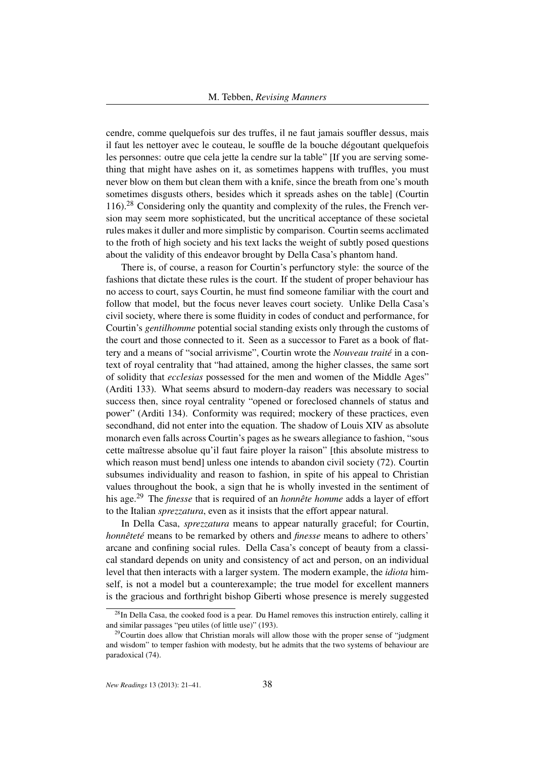cendre, comme quelquefois sur des truffes, il ne faut jamais souffler dessus, mais il faut les nettoyer avec le couteau, le souffle de la bouche dégoutant quelquefois les personnes: outre que cela jette la cendre sur la table" [If you are serving something that might have ashes on it, as sometimes happens with truffles, you must never blow on them but clean them with a knife, since the breath from one's mouth sometimes disgusts others, besides which it spreads ashes on the table] (Courtin 116).<sup>28</sup> Considering only the quantity and complexity of the rules, the French version may seem more sophisticated, but the uncritical acceptance of these societal rules makes it duller and more simplistic by comparison. Courtin seems acclimated to the froth of high society and his text lacks the weight of subtly posed questions about the validity of this endeavor brought by Della Casa's phantom hand.

There is, of course, a reason for Courtin's perfunctory style: the source of the fashions that dictate these rules is the court. If the student of proper behaviour has no access to court, says Courtin, he must find someone familiar with the court and follow that model, but the focus never leaves court society. Unlike Della Casa's civil society, where there is some fluidity in codes of conduct and performance, for Courtin's *gentilhomme* potential social standing exists only through the customs of the court and those connected to it. Seen as a successor to Faret as a book of flattery and a means of "social arrivisme", Courtin wrote the *Nouveau traité* in a context of royal centrality that "had attained, among the higher classes, the same sort of solidity that *ecclesias* possessed for the men and women of the Middle Ages" (Arditi 133). What seems absurd to modern-day readers was necessary to social success then, since royal centrality "opened or foreclosed channels of status and power" (Arditi 134). Conformity was required; mockery of these practices, even secondhand, did not enter into the equation. The shadow of Louis XIV as absolute monarch even falls across Courtin's pages as he swears allegiance to fashion, "sous cette maîtresse absolue qu'il faut faire ployer la raison" [this absolute mistress to which reason must bend] unless one intends to abandon civil society (72). Courtin subsumes individuality and reason to fashion, in spite of his appeal to Christian values throughout the book, a sign that he is wholly invested in the sentiment of his age.<sup>29</sup> The *finesse* that is required of an *honnête homme* adds a layer of effort to the Italian *sprezzatura*, even as it insists that the effort appear natural.

In Della Casa, *sprezzatura* means to appear naturally graceful; for Courtin, *honnêteté* means to be remarked by others and *finesse* means to adhere to others' arcane and confining social rules. Della Casa's concept of beauty from a classical standard depends on unity and consistency of act and person, on an individual level that then interacts with a larger system. The modern example, the *idiota* himself, is not a model but a counterexample; the true model for excellent manners is the gracious and forthright bishop Giberti whose presence is merely suggested

<sup>&</sup>lt;sup>28</sup>In Della Casa, the cooked food is a pear. Du Hamel removes this instruction entirely, calling it and similar passages "peu utiles (of little use)" (193).

 $29$ Courtin does allow that Christian morals will allow those with the proper sense of "judgment" and wisdom" to temper fashion with modesty, but he admits that the two systems of behaviour are paradoxical (74).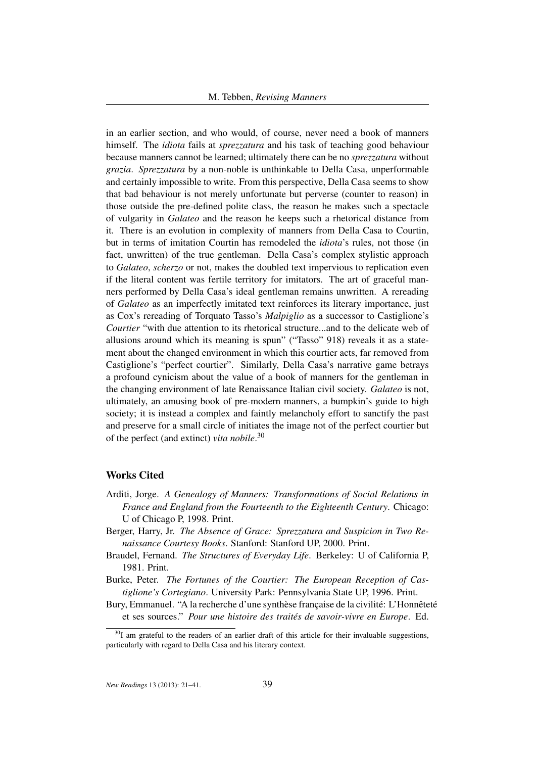in an earlier section, and who would, of course, never need a book of manners himself. The *idiota* fails at *sprezzatura* and his task of teaching good behaviour because manners cannot be learned; ultimately there can be no *sprezzatura* without *grazia*. *Sprezzatura* by a non-noble is unthinkable to Della Casa, unperformable and certainly impossible to write. From this perspective, Della Casa seems to show that bad behaviour is not merely unfortunate but perverse (counter to reason) in those outside the pre-defined polite class, the reason he makes such a spectacle of vulgarity in *Galateo* and the reason he keeps such a rhetorical distance from it. There is an evolution in complexity of manners from Della Casa to Courtin, but in terms of imitation Courtin has remodeled the *idiota*'s rules, not those (in fact, unwritten) of the true gentleman. Della Casa's complex stylistic approach to *Galateo*, *scherzo* or not, makes the doubled text impervious to replication even if the literal content was fertile territory for imitators. The art of graceful manners performed by Della Casa's ideal gentleman remains unwritten. A rereading of *Galateo* as an imperfectly imitated text reinforces its literary importance, just as Cox's rereading of Torquato Tasso's *Malpiglio* as a successor to Castiglione's *Courtier* "with due attention to its rhetorical structure...and to the delicate web of allusions around which its meaning is spun" ("Tasso" 918) reveals it as a statement about the changed environment in which this courtier acts, far removed from Castiglione's "perfect courtier". Similarly, Della Casa's narrative game betrays a profound cynicism about the value of a book of manners for the gentleman in the changing environment of late Renaissance Italian civil society. *Galateo* is not, ultimately, an amusing book of pre-modern manners, a bumpkin's guide to high society; it is instead a complex and faintly melancholy effort to sanctify the past and preserve for a small circle of initiates the image not of the perfect courtier but of the perfect (and extinct) *vita nobile*. 30

## Works Cited

- Arditi, Jorge. *A Genealogy of Manners: Transformations of Social Relations in France and England from the Fourteenth to the Eighteenth Century*. Chicago: U of Chicago P, 1998. Print.
- Berger, Harry, Jr. *The Absence of Grace: Sprezzatura and Suspicion in Two Renaissance Courtesy Books*. Stanford: Stanford UP, 2000. Print.
- Braudel, Fernand. *The Structures of Everyday Life*. Berkeley: U of California P, 1981. Print.
- Burke, Peter. *The Fortunes of the Courtier: The European Reception of Castiglione's Cortegiano*. University Park: Pennsylvania State UP, 1996. Print.
- Bury, Emmanuel. "A la recherche d'une synthèse française de la civilité: L'Honnêteté et ses sources." *Pour une histoire des traités de savoir-vivre en Europe*. Ed.

 $30I$  am grateful to the readers of an earlier draft of this article for their invaluable suggestions, particularly with regard to Della Casa and his literary context.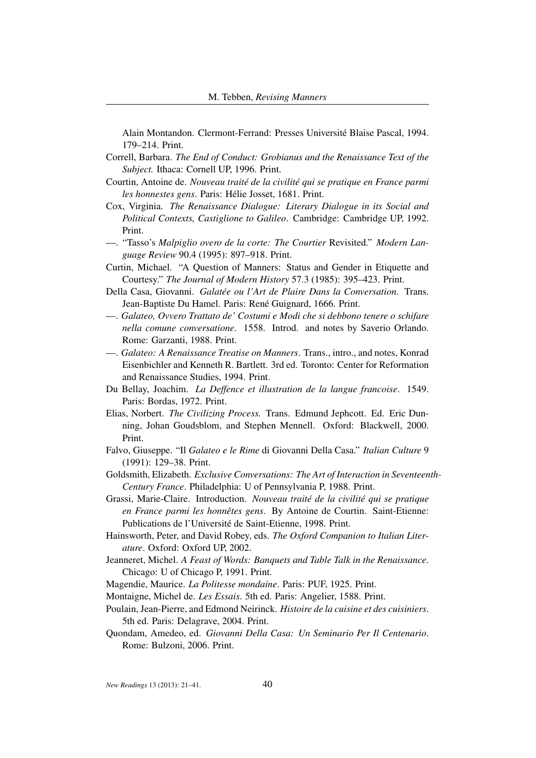Alain Montandon. Clermont-Ferrand: Presses Université Blaise Pascal, 1994. 179–214. Print.

- Correll, Barbara. *The End of Conduct: Grobianus and the Renaissance Text of the Subject.* Ithaca: Cornell UP, 1996. Print.
- Courtin, Antoine de. *Nouveau traité de la civilité qui se pratique en France parmi les honnestes gens*. Paris: Hélie Josset, 1681. Print.
- Cox, Virginia. *The Renaissance Dialogue: Literary Dialogue in its Social and Political Contexts, Castiglione to Galileo*. Cambridge: Cambridge UP, 1992. Print.
- —. "Tasso's *Malpiglio overo de la corte: The Courtier* Revisited." *Modern Language Review* 90.4 (1995): 897–918. Print.
- Curtin, Michael. "A Question of Manners: Status and Gender in Etiquette and Courtesy." *The Journal of Modern History* 57.3 (1985): 395–423. Print.
- Della Casa, Giovanni. *Galatée ou l'Art de Plaire Dans la Conversation*. Trans. Jean-Baptiste Du Hamel. Paris: René Guignard, 1666. Print.
- —. *Galateo, Ovvero Trattato de' Costumi e Modi che si debbono tenere o schifare nella comune conversatione*. 1558. Introd. and notes by Saverio Orlando. Rome: Garzanti, 1988. Print.
- —. *Galateo: A Renaissance Treatise on Manners*. Trans., intro., and notes, Konrad Eisenbichler and Kenneth R. Bartlett. 3rd ed. Toronto: Center for Reformation and Renaissance Studies, 1994. Print.
- Du Bellay, Joachim. *La Deffence et illustration de la langue francoise*. 1549. Paris: Bordas, 1972. Print.
- Elias, Norbert. *The Civilizing Process.* Trans. Edmund Jephcott. Ed. Eric Dunning, Johan Goudsblom, and Stephen Mennell. Oxford: Blackwell, 2000. Print.
- Falvo, Giuseppe. "Il *Galateo e le Rime* di Giovanni Della Casa." *Italian Culture* 9 (1991): 129–38. Print.
- Goldsmith, Elizabeth. *Exclusive Conversations: The Art of Interaction in Seventeenth-Century France*. Philadelphia: U of Pennsylvania P, 1988. Print.
- Grassi, Marie-Claire. Introduction. *Nouveau traité de la civilité qui se pratique en France parmi les honnêtes gens*. By Antoine de Courtin. Saint-Etienne: Publications de l'Université de Saint-Etienne, 1998. Print.
- Hainsworth, Peter, and David Robey, eds. *The Oxford Companion to Italian Literature*. Oxford: Oxford UP, 2002.
- Jeanneret, Michel. *A Feast of Words: Banquets and Table Talk in the Renaissance*. Chicago: U of Chicago P, 1991. Print.
- Magendie, Maurice. *La Politesse mondaine*. Paris: PUF, 1925. Print.
- Montaigne, Michel de. *Les Essais*. 5th ed. Paris: Angelier, 1588. Print.
- Poulain, Jean-Pierre, and Edmond Neirinck. *Histoire de la cuisine et des cuisiniers*. 5th ed. Paris: Delagrave, 2004. Print.
- Quondam, Amedeo, ed. *Giovanni Della Casa: Un Seminario Per Il Centenario*. Rome: Bulzoni, 2006. Print.